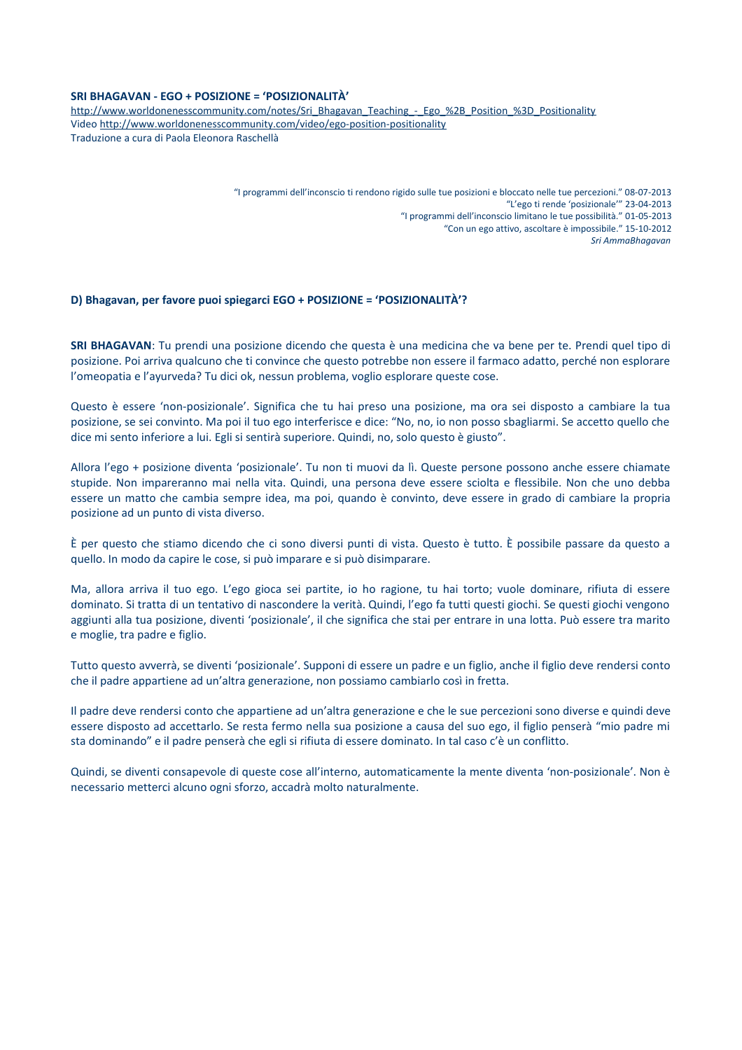## **SRI BHAGAVAN - EGO + POSIZIONE = 'POSIZIONALITÀ'**

[http://www.worldonenesscommunity.com/notes/Sri\\_Bhagavan\\_Teaching\\_-\\_Ego\\_%2B\\_Position\\_%3D\\_Positionality](http://www.worldonenesscommunity.com/notes/Sri_Bhagavan_Teaching_-_Ego_%2B_Position_%3D_Positionality) Video<http://www.worldonenesscommunity.com/video/ego-position-positionality> Traduzione a cura di Paola Eleonora Raschellà

> "I programmi dell'inconscio ti rendono rigido sulle tue posizioni e bloccato nelle tue percezioni." 08-07-2013 "L'ego ti rende 'posizionale'" 23-04-2013 "I programmi dell'inconscio limitano le tue possibilità." 01-05-2013 "Con un ego attivo, ascoltare è impossibile." 15-10-2012 *Sri AmmaBhagavan*

## **D) Bhagavan, per favore puoi spiegarci EGO + POSIZIONE = 'POSIZIONALITÀ'?**

**SRI BHAGAVAN**: Tu prendi una posizione dicendo che questa è una medicina che va bene per te. Prendi quel tipo di posizione. Poi arriva qualcuno che ti convince che questo potrebbe non essere il farmaco adatto, perché non esplorare l'omeopatia e l'ayurveda? Tu dici ok, nessun problema, voglio esplorare queste cose.

Questo è essere 'non-posizionale'. Significa che tu hai preso una posizione, ma ora sei disposto a cambiare la tua posizione, se sei convinto. Ma poi il tuo ego interferisce e dice: "No, no, io non posso sbagliarmi. Se accetto quello che dice mi sento inferiore a lui. Egli si sentirà superiore. Quindi, no, solo questo è giusto".

Allora l'ego + posizione diventa 'posizionale'. Tu non ti muovi da lì. Queste persone possono anche essere chiamate stupide. Non impareranno mai nella vita. Quindi, una persona deve essere sciolta e flessibile. Non che uno debba essere un matto che cambia sempre idea, ma poi, quando è convinto, deve essere in grado di cambiare la propria posizione ad un punto di vista diverso.

È per questo che stiamo dicendo che ci sono diversi punti di vista. Questo è tutto. È possibile passare da questo a quello. In modo da capire le cose, si può imparare e si può disimparare.

Ma, allora arriva il tuo ego. L'ego gioca sei partite, io ho ragione, tu hai torto; vuole dominare, rifiuta di essere dominato. Si tratta di un tentativo di nascondere la verità. Quindi, l'ego fa tutti questi giochi. Se questi giochi vengono aggiunti alla tua posizione, diventi 'posizionale', il che significa che stai per entrare in una lotta. Può essere tra marito e moglie, tra padre e figlio.

Tutto questo avverrà, se diventi 'posizionale'. Supponi di essere un padre e un figlio, anche il figlio deve rendersi conto che il padre appartiene ad un'altra generazione, non possiamo cambiarlo così in fretta.

Il padre deve rendersi conto che appartiene ad un'altra generazione e che le sue percezioni sono diverse e quindi deve essere disposto ad accettarlo. Se resta fermo nella sua posizione a causa del suo ego, il figlio penserà "mio padre mi sta dominando" e il padre penserà che egli si rifiuta di essere dominato. In tal caso c'è un conflitto.

Quindi, se diventi consapevole di queste cose all'interno, automaticamente la mente diventa 'non-posizionale'. Non è necessario metterci alcuno ogni sforzo, accadrà molto naturalmente.